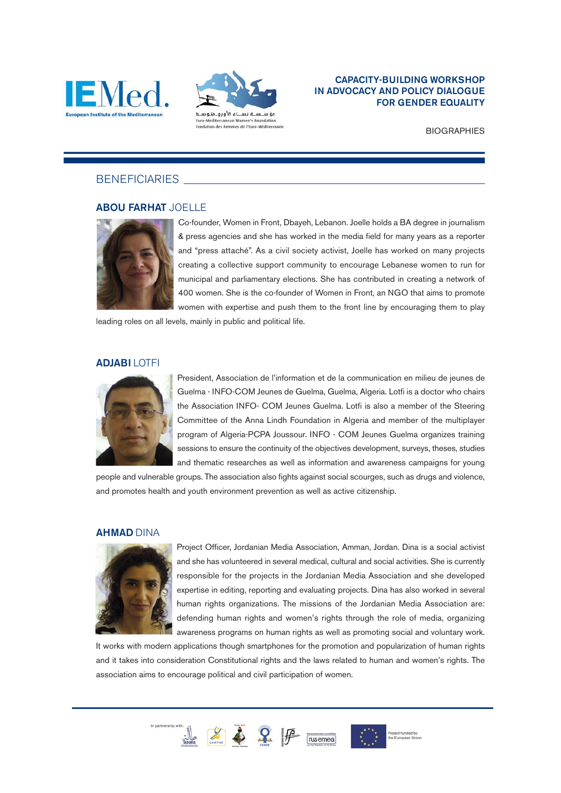



# CAPACITY-BUILDING WORKSHOP IN ADVOCACY AND POLICY DIALOGUE FOR GENDER EQUALITY

**BIOGRAPHIES** 

# **BENEFICIARIES**

# ABOU FARHAT JOELLE



Co-founder, Women in Front, Dbayeh, Lebanon. Joelle holds a BA degree in journalism & press agencies and she has worked in the media field for many years as a reporter and "press attaché". As a civil society activist, Joelle has worked on many projects creating a collective support community to encourage Lebanese women to run for municipal and parliamentary elections. She has contributed in creating a network of 400 women. She is the co-founder of Women in Front, an NGO that aims to promote women with expertise and push them to the front line by encouraging them to play

leading roles on all levels, mainly in public and political life.

# ADJABI LOTFI



President, Association de l'information et de la communication en milieu de jeunes de Guelma - INFO-COM Jeunes de Guelma, Guelma, Algeria. Lotfi is a doctor who chairs the Association INFO- COM Jeunes Guelma. Lotfi is also a member of the Steering Committee of the Anna Lindh Foundation in Algeria and member of the multiplayer program of Algeria-PCPA Joussour. INFO - COM Jeunes Guelma organizes training sessions to ensure the continuity of the objectives development, surveys, theses, studies and thematic researches as well as information and awareness campaigns for young

people and vulnerable groups. The association also fights against social scourges, such as drugs and violence, and promotes health and youth environment prevention as well as active citizenship.

# AHMAD DINA



Project Officer, Jordanian Media Association, Amman, Jordan. Dina is a social activist and she has volunteered in several medical, cultural and social activities. She is currently responsible for the projects in the Jordanian Media Association and she developed expertise in editing, reporting and evaluating projects. Dina has also worked in several human rights organizations. The missions of the Jordanian Media Association are: defending human rights and women's rights through the role of media, organizing awareness programs on human rights as well as promoting social and voluntary work.

It works with modern applications though smartphones for the promotion and popularization of human rights and it takes into consideration Constitutional rights and the laws related to human and women's rights. The association aims to encourage political and civil participation of women.





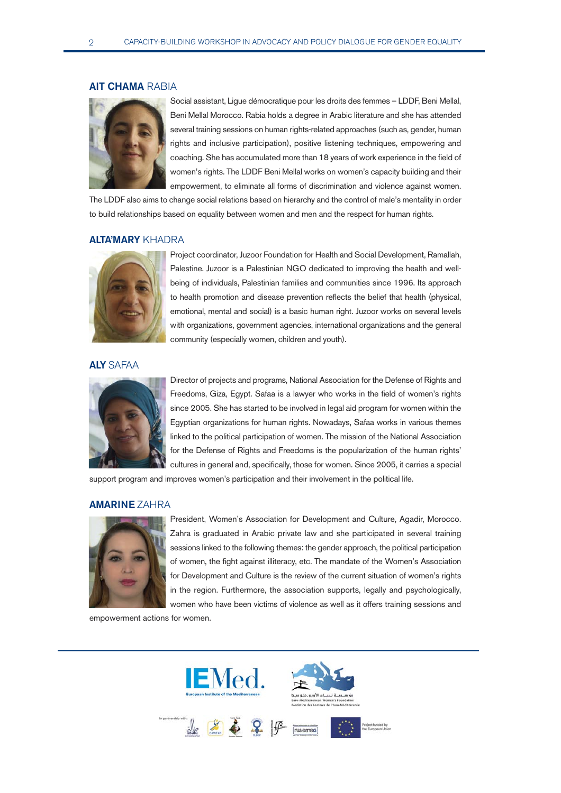# AIT CHAMA RABIA



Social assistant, Ligue démocratique pour les droits des femmes – LDDF, Beni Mellal, Beni Mellal Morocco. Rabia holds a degree in Arabic literature and she has attended several training sessions on human rights-related approaches (such as, gender, human rights and inclusive participation), positive listening techniques, empowering and coaching. She has accumulated more than 18 years of work experience in the field of women's rights. The LDDF Beni Mellal works on women's capacity building and their empowerment, to eliminate all forms of discrimination and violence against women.

The LDDF also aims to change social relations based on hierarchy and the control of male's mentality in order to build relationships based on equality between women and men and the respect for human rights.

## ALTA'MARY KHADRA



Project coordinator, Juzoor Foundation for Health and Social Development, Ramallah, Palestine. Juzoor is a Palestinian NGO dedicated to improving the health and wellbeing of individuals, Palestinian families and communities since 1996. Its approach to health promotion and disease prevention reflects the belief that health (physical, emotional, mental and social) is a basic human right. Juzoor works on several levels with organizations, government agencies, international organizations and the general community (especially women, children and youth).

## ALY SAFAA



Director of projects and programs, National Association for the Defense of Rights and Freedoms, Giza, Egypt. Safaa is a lawyer who works in the field of women's rights since 2005. She has started to be involved in legal aid program for women within the Egyptian organizations for human rights. Nowadays, Safaa works in various themes linked to the political participation of women. The mission of the National Association for the Defense of Rights and Freedoms is the popularization of the human rights' cultures in general and, specifically, those for women. Since 2005, it carries a special

support program and improves women's participation and their involvement in the political life.

## AMARINE ZAHRA



President, Women's Association for Development and Culture, Agadir, Morocco. Zahra is graduated in Arabic private law and she participated in several training sessions linked to the following themes: the gender approach, the political participation of women, the fight against illiteracy, etc. The mandate of the Women's Association for Development and Culture is the review of the current situation of women's rights in the region. Furthermore, the association supports, legally and psychologically, women who have been victims of violence as well as it offers training sessions and

empowerment actions for women.

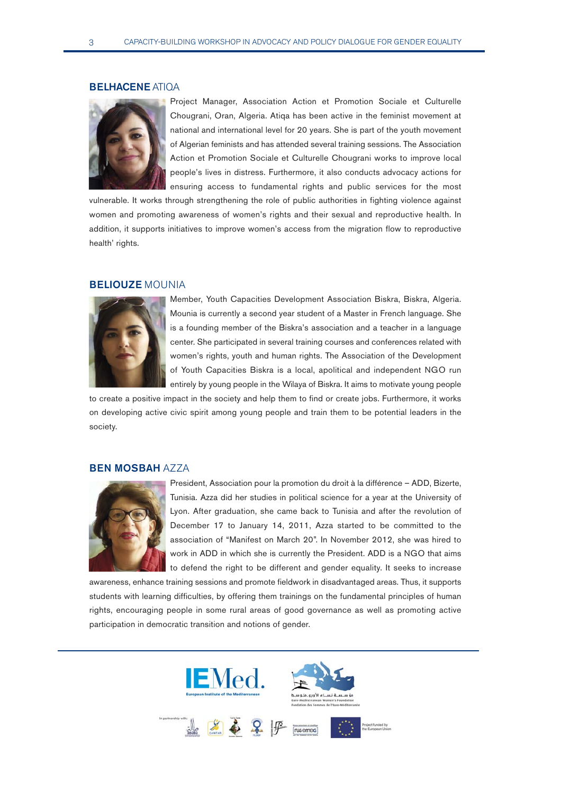# BELHACENE ATIQA



Project Manager, Association Action et Promotion Sociale et Culturelle Chougrani, Oran, Algeria. Atiqa has been active in the feminist movement at national and international level for 20 years. She is part of the youth movement of Algerian feminists and has attended several training sessions. The Association Action et Promotion Sociale et Culturelle Chougrani works to improve local people's lives in distress. Furthermore, it also conducts advocacy actions for ensuring access to fundamental rights and public services for the most

vulnerable. It works through strengthening the role of public authorities in fighting violence against women and promoting awareness of women's rights and their sexual and reproductive health. In addition, it supports initiatives to improve women's access from the migration flow to reproductive health' rights.

## BELIOUZE MOUNIA



Member, Youth Capacities Development Association Biskra, Biskra, Algeria. Mounia is currently a second year student of a Master in French language. She is a founding member of the Biskra's association and a teacher in a language center. She participated in several training courses and conferences related with women's rights, youth and human rights. The Association of the Development of Youth Capacities Biskra is a local, apolitical and independent NGO run entirely by young people in the Wilaya of Biskra. It aims to motivate young people

to create a positive impact in the society and help them to find or create jobs. Furthermore, it works on developing active civic spirit among young people and train them to be potential leaders in the society.

# BEN MOSBAH AZZA



President, Association pour la promotion du droit à la différence – ADD, Bizerte, Tunisia. Azza did her studies in political science for a year at the University of Lyon. After graduation, she came back to Tunisia and after the revolution of December 17 to January 14, 2011, Azza started to be committed to the association of "Manifest on March 20". In November 2012, she was hired to work in ADD in which she is currently the President. ADD is a NGO that aims to defend the right to be different and gender equality. It seeks to increase

awareness, enhance training sessions and promote fieldwork in disadvantaged areas. Thus, it supports students with learning difficulties, by offering them trainings on the fundamental principles of human rights, encouraging people in some rural areas of good governance as well as promoting active participation in democratic transition and notions of gender.

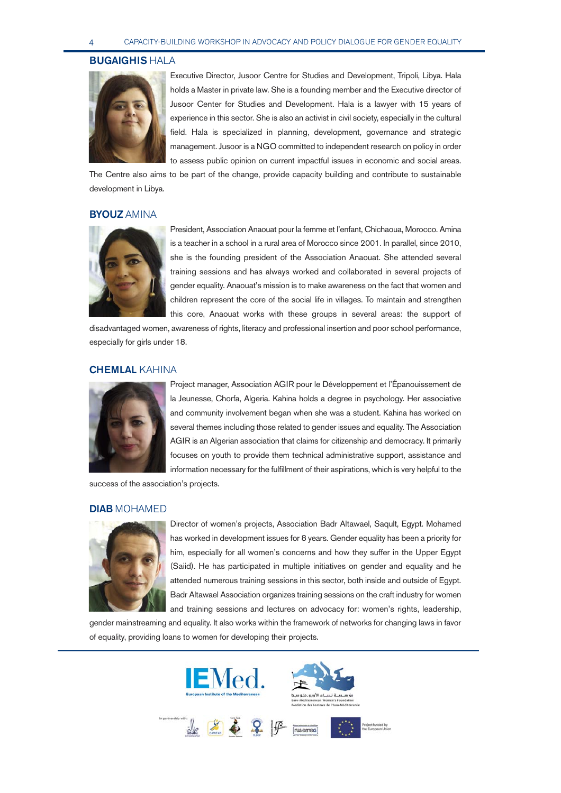#### BUGAIGHIS HALA



Executive Director, Jusoor Centre for Studies and Development, Tripoli, Libya. Hala holds a Master in private law. She is a founding member and the Executive director of Jusoor Center for Studies and Development. Hala is a lawyer with 15 years of experience in this sector. She is also an activist in civil society, especially in the cultural field. Hala is specialized in planning, development, governance and strategic management. Jusoor is a NGO committed to independent research on policy in order to assess public opinion on current impactful issues in economic and social areas.

The Centre also aims to be part of the change, provide capacity building and contribute to sustainable development in Libya.

# **BYOUZ AMINA**



President, Association Anaouat pour la femme et l'enfant, Chichaoua, Morocco. Amina is a teacher in a school in a rural area of Morocco since 2001. In parallel, since 2010, she is the founding president of the Association Anaouat. She attended several training sessions and has always worked and collaborated in several projects of gender equality. Anaouat's mission is to make awareness on the fact that women and children represent the core of the social life in villages. To maintain and strengthen this core, Anaouat works with these groups in several areas: the support of

disadvantaged women, awareness of rights, literacy and professional insertion and poor school performance, especially for girls under 18.

# CHEMLAL KAHINA



Project manager, Association AGIR pour le Développement et l'Épanouissement de la Jeunesse, Chorfa, Algeria. Kahina holds a degree in psychology. Her associative and community involvement began when she was a student. Kahina has worked on several themes including those related to gender issues and equality. The Association AGIR is an Algerian association that claims for citizenship and democracy. It primarily focuses on youth to provide them technical administrative support, assistance and information necessary for the fulfillment of their aspirations, which is very helpful to the

success of the association's projects.

# DIAB MOHAMED



Director of women's projects, Association Badr Altawael, Saqult, Egypt. Mohamed has worked in development issues for 8 years. Gender equality has been a priority for him, especially for all women's concerns and how they suffer in the Upper Egypt (Saiid). He has participated in multiple initiatives on gender and equality and he attended numerous training sessions in this sector, both inside and outside of Egypt. Badr Altawael Association organizes training sessions on the craft industry for women and training sessions and lectures on advocacy for: women's rights, leadership,

gender mainstreaming and equality. It also works within the framework of networks for changing laws in favor of equality, providing loans to women for developing their projects.

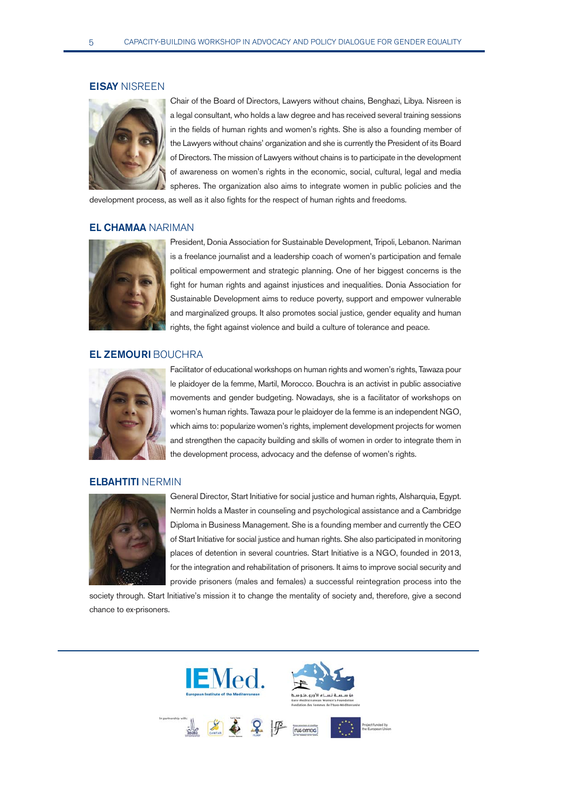#### EISAY NISREEN



Chair of the Board of Directors, Lawyers without chains, Benghazi, Libya. Nisreen is a legal consultant, who holds a law degree and has received several training sessions in the fields of human rights and women's rights. She is also a founding member of the Lawyers without chains' organization and she is currently the President of its Board of Directors. The mission of Lawyers without chains is to participate in the development of awareness on women's rights in the economic, social, cultural, legal and media spheres. The organization also aims to integrate women in public policies and the

development process, as well as it also fights for the respect of human rights and freedoms.

## EL CHAMAA NARIMAN



President, Donia Association for Sustainable Development, Tripoli, Lebanon. Nariman is a freelance journalist and a leadership coach of women's participation and female political empowerment and strategic planning. One of her biggest concerns is the fight for human rights and against injustices and inequalities. Donia Association for Sustainable Development aims to reduce poverty, support and empower vulnerable and marginalized groups. It also promotes social justice, gender equality and human rights, the fight against violence and build a culture of tolerance and peace.

# EL ZEMOURI BOUCHRA



Facilitator of educational workshops on human rights and women's rights, Tawaza pour le plaidoyer de la femme, Martil, Morocco. Bouchra is an activist in public associative movements and gender budgeting. Nowadays, she is a facilitator of workshops on women's human rights. Tawaza pour le plaidoyer de la femme is an independent NGO, which aims to: popularize women's rights, implement development projects for women and strengthen the capacity building and skills of women in order to integrate them in the development process, advocacy and the defense of women's rights.

# ELBAHTITI NERMIN



General Director, Start Initiative for social justice and human rights, Alsharquia, Egypt. Nermin holds a Master in counseling and psychological assistance and a Cambridge Diploma in Business Management. She is a founding member and currently the CEO of Start Initiative for social justice and human rights. She also participated in monitoring places of detention in several countries. Start Initiative is a NGO, founded in 2013, for the integration and rehabilitation of prisoners. It aims to improve social security and provide prisoners (males and females) a successful reintegration process into the

society through. Start Initiative's mission it to change the mentality of society and, therefore, give a second chance to ex-prisoners.

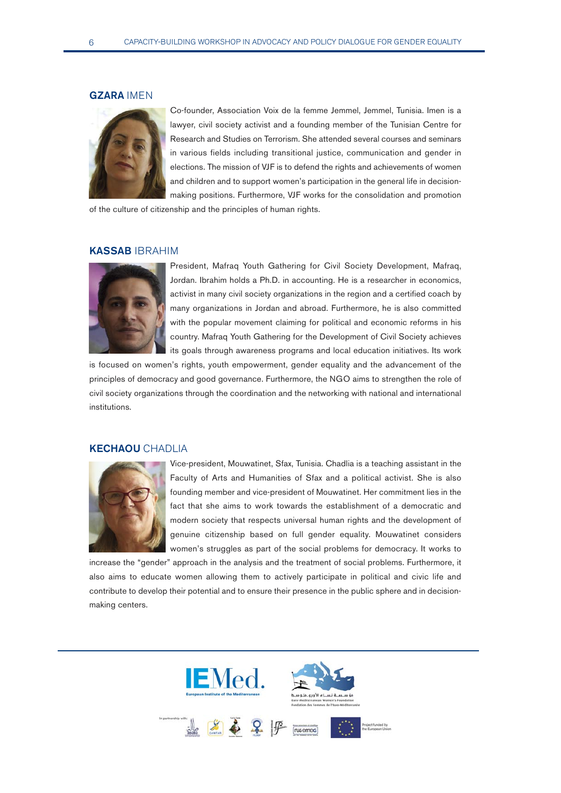#### GZARA IMEN



Co-founder, Association Voix de la femme Jemmel, Jemmel, Tunisia. Imen is a lawyer, civil society activist and a founding member of the Tunisian Centre for Research and Studies on Terrorism. She attended several courses and seminars in various fields including transitional justice, communication and gender in elections. The mission of VJF is to defend the rights and achievements of women and children and to support women's participation in the general life in decisionmaking positions. Furthermore, VJF works for the consolidation and promotion

of the culture of citizenship and the principles of human rights.

## KASSAB IBRAHIM



President, Mafraq Youth Gathering for Civil Society Development, Mafraq, Jordan. Ibrahim holds a Ph.D. in accounting. He is a researcher in economics, activist in many civil society organizations in the region and a certified coach by many organizations in Jordan and abroad. Furthermore, he is also committed with the popular movement claiming for political and economic reforms in his country. Mafraq Youth Gathering for the Development of Civil Society achieves its goals through awareness programs and local education initiatives. Its work

is focused on women's rights, youth empowerment, gender equality and the advancement of the principles of democracy and good governance. Furthermore, the NGO aims to strengthen the role of civil society organizations through the coordination and the networking with national and international institutions.

## KECHAOU CHADLIA



Vice-president, Mouwatinet, Sfax, Tunisia. Chadlia is a teaching assistant in the Faculty of Arts and Humanities of Sfax and a political activist. She is also founding member and vice-president of Mouwatinet. Her commitment lies in the fact that she aims to work towards the establishment of a democratic and modern society that respects universal human rights and the development of genuine citizenship based on full gender equality. Mouwatinet considers women's struggles as part of the social problems for democracy. It works to

increase the "gender" approach in the analysis and the treatment of social problems. Furthermore, it also aims to educate women allowing them to actively participate in political and civic life and contribute to develop their potential and to ensure their presence in the public sphere and in decisionmaking centers.

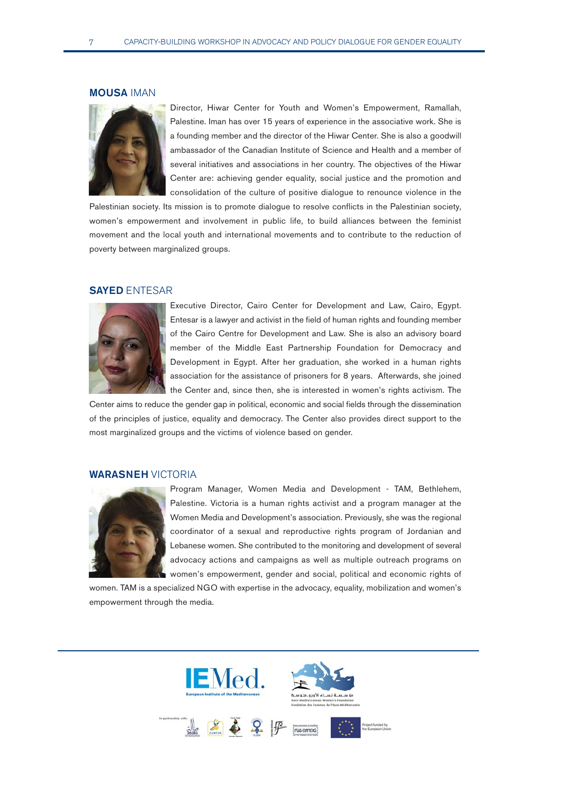### MOUSA IMAN



Director, Hiwar Center for Youth and Women's Empowerment, Ramallah, Palestine. Iman has over 15 years of experience in the associative work. She is a founding member and the director of the Hiwar Center. She is also a goodwill ambassador of the Canadian Institute of Science and Health and a member of several initiatives and associations in her country. The objectives of the Hiwar Center are: achieving gender equality, social justice and the promotion and consolidation of the culture of positive dialogue to renounce violence in the

Palestinian society. Its mission is to promote dialogue to resolve conflicts in the Palestinian society, women's empowerment and involvement in public life, to build alliances between the feminist movement and the local youth and international movements and to contribute to the reduction of poverty between marginalized groups.

## SAYED ENTESAR



Executive Director, Cairo Center for Development and Law, Cairo, Egypt. Entesar is a lawyer and activist in the field of human rights and founding member of the Cairo Centre for Development and Law. She is also an advisory board member of the Middle East Partnership Foundation for Democracy and Development in Egypt. After her graduation, she worked in a human rights association for the assistance of prisoners for 8 years. Afterwards, she joined the Center and, since then, she is interested in women's rights activism. The

Center aims to reduce the gender gap in political, economic and social fields through the dissemination of the principles of justice, equality and democracy. The Center also provides direct support to the most marginalized groups and the victims of violence based on gender.

## WARASNEH VICTORIA



Program Manager, Women Media and Development - TAM, Bethlehem, Palestine. Victoria is a human rights activist and a program manager at the Women Media and Development's association. Previously, she was the regional coordinator of a sexual and reproductive rights program of Jordanian and Lebanese women. She contributed to the monitoring and development of several advocacy actions and campaigns as well as multiple outreach programs on women's empowerment, gender and social, political and economic rights of

women. TAM is a specialized NGO with expertise in the advocacy, equality, mobilization and women's empowerment through the media.

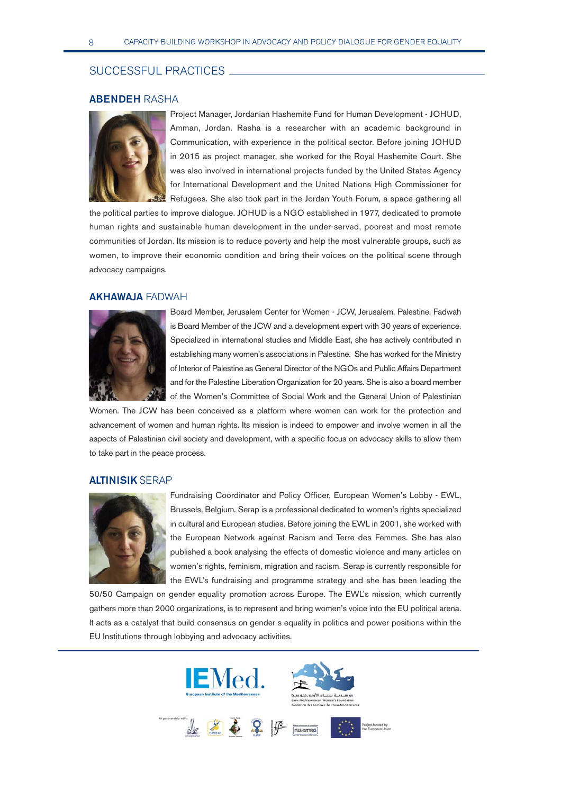# SUCCESSFUL PRACTICES

# ABENDEH RASHA



Project Manager, Jordanian Hashemite Fund for Human Development - JOHUD, Amman, Jordan. Rasha is a researcher with an academic background in Communication, with experience in the political sector. Before joining JOHUD in 2015 as project manager, she worked for the Royal Hashemite Court. She was also involved in international projects funded by the United States Agency for International Development and the United Nations High Commissioner for Refugees. She also took part in the Jordan Youth Forum, a space gathering all

the political parties to improve dialogue. JOHUD is a NGO established in 1977, dedicated to promote human rights and sustainable human development in the under-served, poorest and most remote communities of Jordan. Its mission is to reduce poverty and help the most vulnerable groups, such as women, to improve their economic condition and bring their voices on the political scene through advocacy campaigns.

# AKHAWAJA FADWAH



Board Member, Jerusalem Center for Women - JCW, Jerusalem, Palestine. Fadwah is Board Member of the JCW and a development expert with 30 years of experience. Specialized in international studies and Middle East, she has actively contributed in establishing many women's associations in Palestine. She has worked for the Ministry of Interior of Palestine as General Director of the NGOs and Public Affairs Department and for the Palestine Liberation Organization for 20 years. She is also a board member of the Women's Committee of Social Work and the General Union of Palestinian

Women. The JCW has been conceived as a platform where women can work for the protection and advancement of women and human rights. Its mission is indeed to empower and involve women in all the aspects of Palestinian civil society and development, with a specific focus on advocacy skills to allow them to take part in the peace process.

## ALTINISIK SERAP



Fundraising Coordinator and Policy Officer, European Women's Lobby - EWL, Brussels, Belgium. Serap is a professional dedicated to women's rights specialized in cultural and European studies. Before joining the EWL in 2001, she worked with the European Network against Racism and Terre des Femmes. She has also published a book analysing the effects of domestic violence and many articles on women's rights, feminism, migration and racism. Serap is currently responsible for the EWL's fundraising and programme strategy and she has been leading the

50/50 Campaign on gender equality promotion across Europe. The EWL's mission, which currently gathers more than 2000 organizations, is to represent and bring women's voice into the EU political arena. It acts as a catalyst that build consensus on gender s equality in politics and power positions within the EU Institutions through lobbying and advocacy activities.

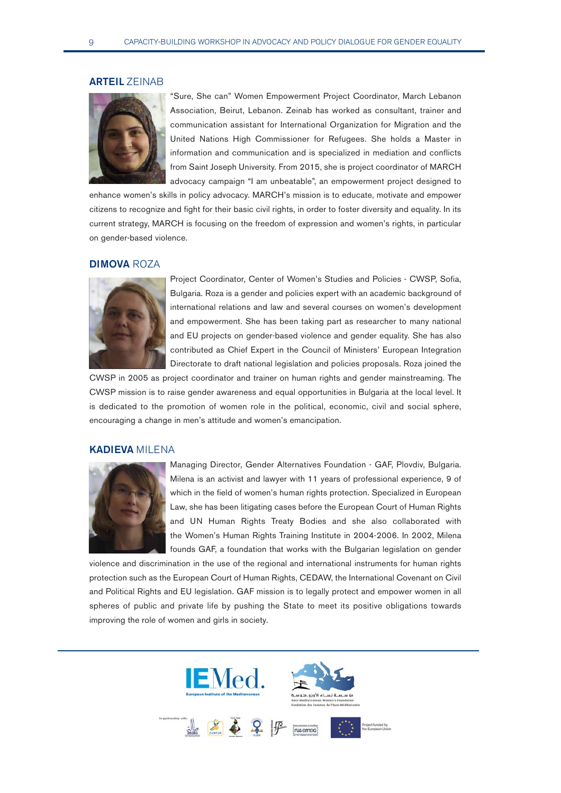## ARTEIL ZEINAB



"Sure, She can" Women Empowerment Project Coordinator, March Lebanon Association, Beirut, Lebanon. Zeinab has worked as consultant, trainer and communication assistant for International Organization for Migration and the United Nations High Commissioner for Refugees. She holds a Master in information and communication and is specialized in mediation and conflicts from Saint Joseph University. From 2015, she is project coordinator of MARCH advocacy campaign "I am unbeatable", an empowerment project designed to

enhance women's skills in policy advocacy. MARCH's mission is to educate, motivate and empower citizens to recognize and fight for their basic civil rights, in order to foster diversity and equality. In its current strategy, MARCH is focusing on the freedom of expression and women's rights, in particular on gender-based violence.

## **DIMOVA ROZA**



Project Coordinator, Center of Women's Studies and Policies - CWSP, Sofia, Bulgaria. Roza is a gender and policies expert with an academic background of international relations and law and several courses on women's development and empowerment. She has been taking part as researcher to many national and EU projects on gender-based violence and gender equality. She has also contributed as Chief Expert in the Council of Ministers' European Integration Directorate to draft national legislation and policies proposals. Roza joined the

CWSP in 2005 as project coordinator and trainer on human rights and gender mainstreaming. The CWSP mission is to raise gender awareness and equal opportunities in Bulgaria at the local level. It is dedicated to the promotion of women role in the political, economic, civil and social sphere, encouraging a change in men's attitude and women's emancipation.

# KADIEVA MILENA



Managing Director, Gender Alternatives Foundation - GAF, Plovdiv, Bulgaria. Milena is an activist and lawyer with 11 years of professional experience, 9 of which in the field of women's human rights protection. Specialized in European Law, she has been litigating cases before the European Court of Human Rights and UN Human Rights Treaty Bodies and she also collaborated with the Women's Human Rights Training Institute in 2004-2006. In 2002, Milena founds GAF, a foundation that works with the Bulgarian legislation on gender

violence and discrimination in the use of the regional and international instruments for human rights protection such as the European Court of Human Rights, CEDAW, the International Covenant on Civil and Political Rights and EU legislation. GAF mission is to legally protect and empower women in all spheres of public and private life by pushing the State to meet its positive obligations towards improving the role of women and girls in society.

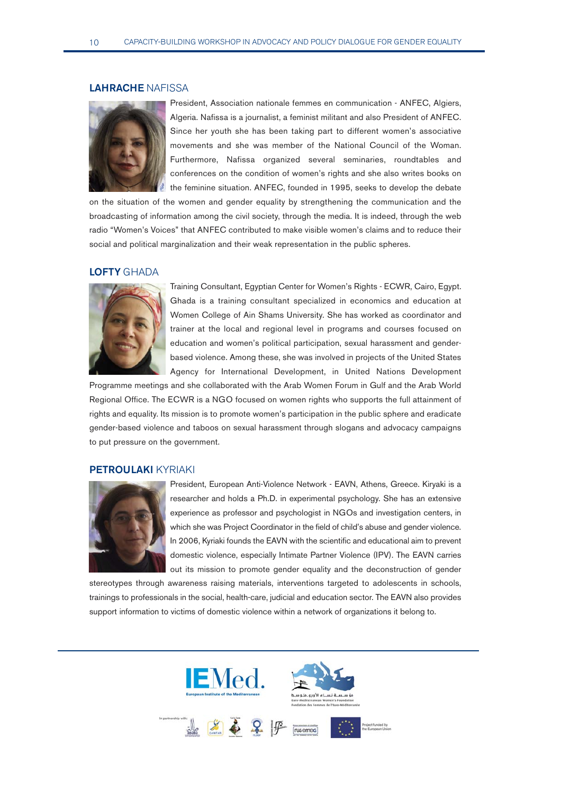# LAHRACHE NAFISSA



President, Association nationale femmes en communication - ANFEC, Algiers, Algeria. Nafissa is a journalist, a feminist militant and also President of ANFEC. Since her youth she has been taking part to different women's associative movements and she was member of the National Council of the Woman. Furthermore, Nafissa organized several seminaries, roundtables and conferences on the condition of women's rights and she also writes books on the feminine situation. ANFEC, founded in 1995, seeks to develop the debate

on the situation of the women and gender equality by strengthening the communication and the broadcasting of information among the civil society, through the media. It is indeed, through the web radio "Women's Voices" that ANFEC contributed to make visible women's claims and to reduce their social and political marginalization and their weak representation in the public spheres.

#### LOFTY GHADA



Training Consultant, Egyptian Center for Women's Rights - ECWR, Cairo, Egypt. Ghada is a training consultant specialized in economics and education at Women College of Ain Shams University. She has worked as coordinator and trainer at the local and regional level in programs and courses focused on education and women's political participation, sexual harassment and genderbased violence. Among these, she was involved in projects of the United States Agency for International Development, in United Nations Development

Programme meetings and she collaborated with the Arab Women Forum in Gulf and the Arab World Regional Office. The ECWR is a NGO focused on women rights who supports the full attainment of rights and equality. Its mission is to promote women's participation in the public sphere and eradicate gender-based violence and taboos on sexual harassment through slogans and advocacy campaigns to put pressure on the government.

## PETROULAKI KYRIAKI



President, European Anti-Violence Network - EAVN, Athens, Greece. Kiryaki is a researcher and holds a Ph.D. in experimental psychology. She has an extensive experience as professor and psychologist in NGOs and investigation centers, in which she was Project Coordinator in the field of child's abuse and gender violence. In 2006, Kyriaki founds the EAVN with the scientific and educational aim to prevent domestic violence, especially Intimate Partner Violence (IPV). The EAVN carries out its mission to promote gender equality and the deconstruction of gender

stereotypes through awareness raising materials, interventions targeted to adolescents in schools, trainings to professionals in the social, health-care, judicial and education sector. The EAVN also provides support information to victims of domestic violence within a network of organizations it belong to.

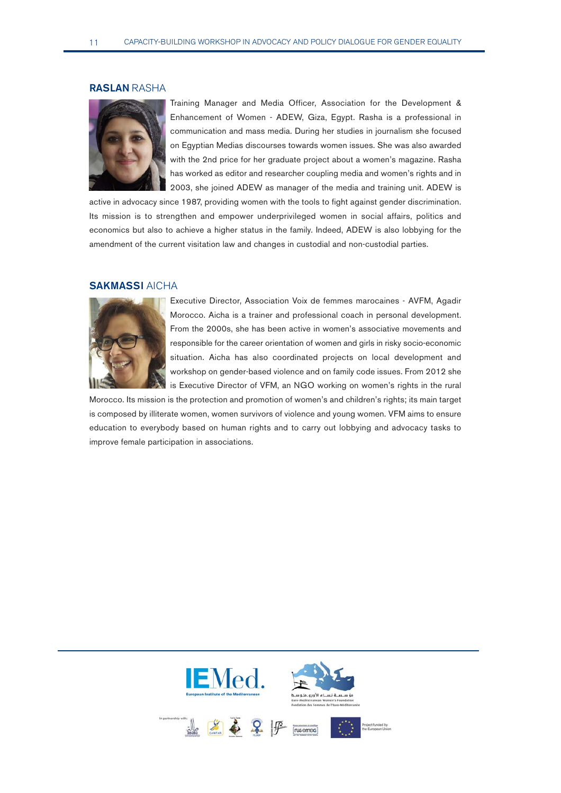# RASLAN RASHA



Training Manager and Media Officer, Association for the Development & Enhancement of Women - ADEW, Giza, Egypt. Rasha is a professional in communication and mass media. During her studies in journalism she focused on Egyptian Medias discourses towards women issues. She was also awarded with the 2nd price for her graduate project about a women's magazine. Rasha has worked as editor and researcher coupling media and women's rights and in 2003, she joined ADEW as manager of the media and training unit. ADEW is

active in advocacy since 1987, providing women with the tools to fight against gender discrimination. Its mission is to strengthen and empower underprivileged women in social affairs, politics and economics but also to achieve a higher status in the family. Indeed, ADEW is also lobbying for the amendment of the current visitation law and changes in custodial and non-custodial parties.

## SAKMASSI AICHA



Executive Director, Association Voix de femmes marocaines - AVFM, Agadir Morocco. Aicha is a trainer and professional coach in personal development. From the 2000s, she has been active in women's associative movements and responsible for the career orientation of women and girls in risky socio-economic situation. Aicha has also coordinated projects on local development and workshop on gender-based violence and on family code issues. From 2012 she is Executive Director of VFM, an NGO working on women's rights in the rural

Morocco. Its mission is the protection and promotion of women's and children's rights; its main target is composed by illiterate women, women survivors of violence and young women. VFM aims to ensure education to everybody based on human rights and to carry out lobbying and advocacy tasks to improve female participation in associations.

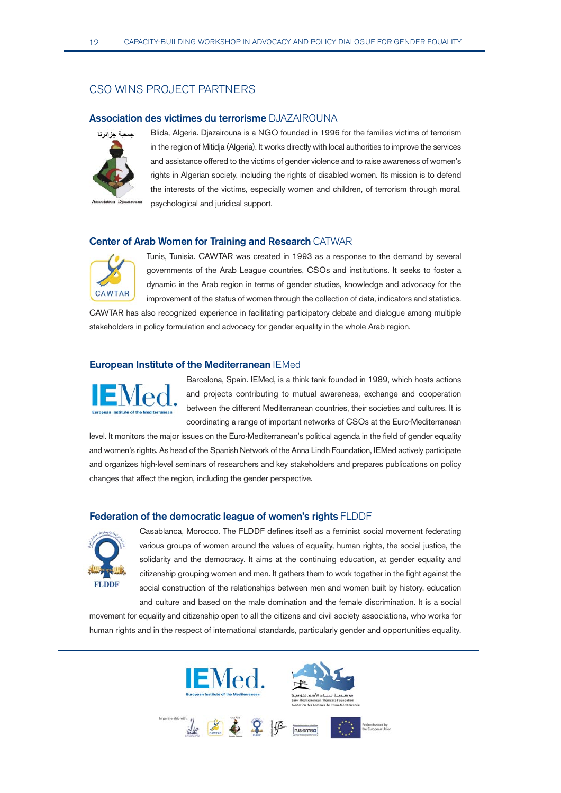# CSO WINS PROJECT PARTNERS

## Association des victimes du terrorisme DJAZAIROUNA



Blida, Algeria. Djazairouna is a NGO founded in 1996 for the families victims of terrorism in the region of Mitidja (Algeria). It works directly with local authorities to improve the services and assistance offered to the victims of gender violence and to raise awareness of women's rights in Algerian society, including the rights of disabled women. Its mission is to defend the interests of the victims, especially women and children, of terrorism through moral, psychological and juridical support.

# Center of Arab Women for Training and Research CATWAR



Tunis, Tunisia. CAWTAR was created in 1993 as a response to the demand by several governments of the Arab League countries, CSOs and institutions. It seeks to foster a dynamic in the Arab region in terms of gender studies, knowledge and advocacy for the improvement of the status of women through the collection of data, indicators and statistics.

CAWTAR has also recognized experience in facilitating participatory debate and dialogue among multiple stakeholders in policy formulation and advocacy for gender equality in the whole Arab region.

# European Institute of the Mediterranean IEMed



Barcelona, Spain. IEMed, is a think tank founded in 1989, which hosts actions and projects contributing to mutual awareness, exchange and cooperation between the different Mediterranean countries, their societies and cultures. It is coordinating a range of important networks of CSOs at the Euro-Mediterranean

level. It monitors the major issues on the Euro-Mediterranean's political agenda in the field of gender equality and women's rights. As head of the Spanish Network of the Anna Lindh Foundation, IEMed actively participate and organizes high-level seminars of researchers and key stakeholders and prepares publications on policy changes that affect the region, including the gender perspective.

### Federation of the democratic league of women's rights FLDDF



Casablanca, Morocco. The FLDDF defines itself as a feminist social movement federating various groups of women around the values of equality, human rights, the social justice, the solidarity and the democracy. It aims at the continuing education, at gender equality and citizenship grouping women and men. It gathers them to work together in the fight against the social construction of the relationships between men and women built by history, education and culture and based on the male domination and the female discrimination. It is a social

movement for equality and citizenship open to all the citizens and civil society associations, who works for human rights and in the respect of international standards, particularly gender and opportunities equality.

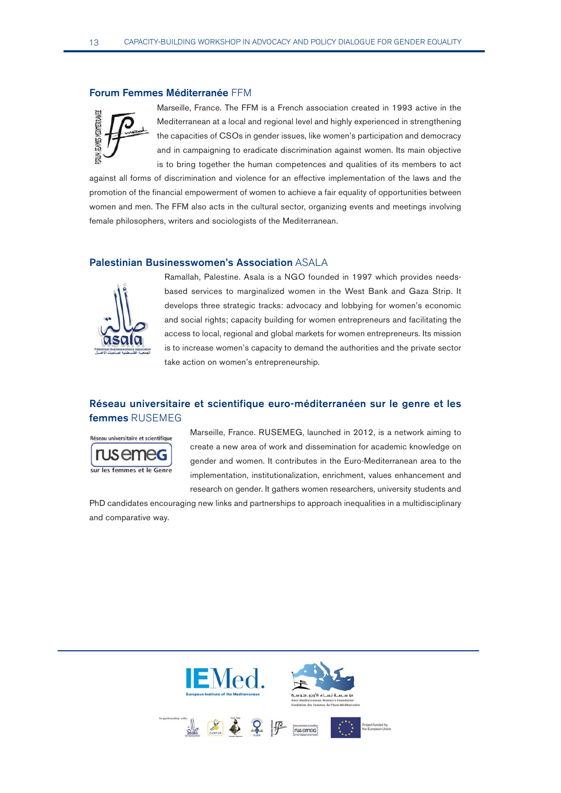#### Forum Femmes Méditerranée FFM



Marseille, France. The FFM is a French association created in 1993 active in the Mediterranean at a local and regional level and highly experienced in strengthening the capacities of CSOs in gender issues, like women's participation and democracy and in campaigning to eradicate discrimination against women. Its main objective is to bring together the human competences and qualities of its members to act

against all forms of discrimination and violence for an effective implementation of the laws and the promotion of the financial empowerment of women to achieve a fair equality of opportunities between women and men. The FFM also acts in the cultural sector, organizing events and meetings involving female philosophers, writers and sociologists of the Mediterranean.

## Palestinian Businesswomen's Association ASALA



Ramallah, Palestine. Asala is a NGO founded in 1997 which provides needsbased services to marginalized women in the West Bank and Gaza Strip. It develops three strategic tracks: advocacy and lobbying for women's economic and social rights; capacity building for women entrepreneurs and facilitating the access to local, regional and global markets for women entrepreneurs. Its mission is to increase women's capacity to demand the authorities and the private sector take action on women's entrepreneurship.

# Réseau universitaire et scientifique euro-méditerranéen sur le genre et les femmes RUSEMEG



Marseille, France. RUSEMEG, launched in 2012, is a network aiming to create a new area of work and dissemination for academic knowledge on gender and women. It contributes in the Euro-Mediterranean area to the implementation, institutionalization, enrichment, values enhancement and research on gender. It gathers women researchers, university students and

PhD candidates encouraging new links and partnerships to approach inequalities in a multidisciplinary and comparative way.